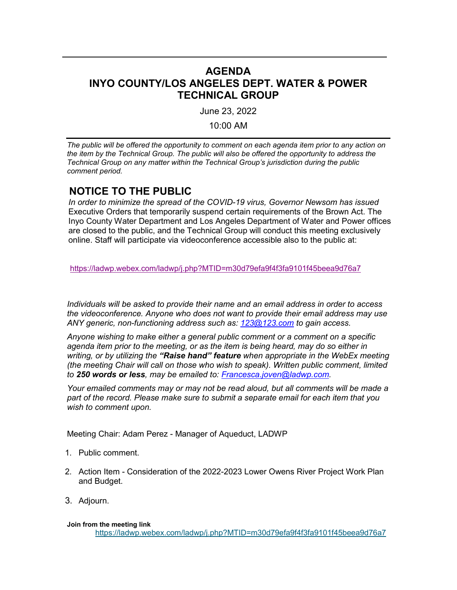# **AGENDA INYO COUNTY/LOS ANGELES DEPT. WATER & POWER TECHNICAL GROUP**

June 23, 2022

10:00 AM

*The public will be offered the opportunity to comment on each agenda item prior to any action on the item by the Technical Group. The public will also be offered the opportunity to address the Technical Group on any matter within the Technical Group's jurisdiction during the public comment period.*

## **NOTICE TO THE PUBLIC**

*In order to minimize the spread of the COVID-19 virus, Governor Newsom has issued*  Executive Orders that temporarily suspend certain requirements of the Brown Act. The Inyo County Water Department and Los Angeles Department of Water and Power offices are closed to the public, and the Technical Group will conduct this meeting exclusively online. Staff will participate via videoconference accessible also to the public at:

<https://ladwp.webex.com/ladwp/j.php?MTID=m30d79efa9f4f3fa9101f45beea9d76a7>

*Individuals will be asked to provide their name and an email address in order to access the videoconference. Anyone who does not want to provide their email address may use ANY generic, non-functioning address such as: [123@123.com](mailto:123@123.com) to gain access.*

*Anyone wishing to make either a general public comment or a comment on a specific agenda item prior to the meeting, or as the item is being heard, may do so either in writing, or by utilizing the "Raise hand" feature when appropriate in the WebEx meeting (the meeting Chair will call on those who wish to speak). Written public comment, limited to 250 words or less, may be emailed to: [Francesca.joven@ladwp.com.](mailto:Francesca.joven@ladwp.com)* 

*Your emailed comments may or may not be read aloud, but all comments will be made a part of the record. Please make sure to submit a separate email for each item that you wish to comment upon.*

Meeting Chair: Adam Perez - Manager of Aqueduct, LADWP

- 1. Public comment.
- 2. Action Item Consideration of the 2022-2023 Lower Owens River Project Work Plan and Budget.
- 3. Adjourn.

## **Join from the meeting link**

<https://ladwp.webex.com/ladwp/j.php?MTID=m30d79efa9f4f3fa9101f45beea9d76a7>